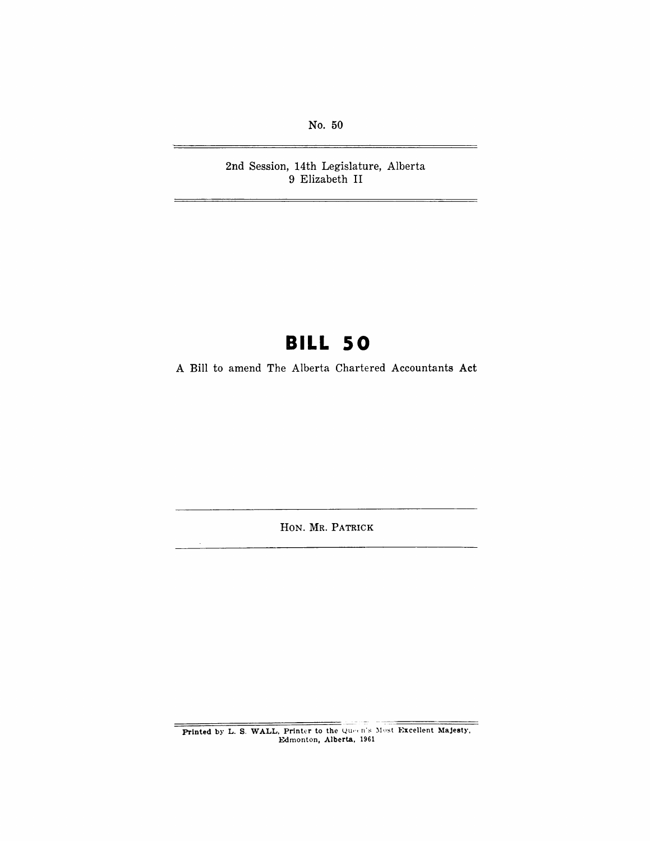No. 50

2nd Session, 14th Legislature, Alberta 9 Elizabeth II

## **BILL 50**

A Bill to amend The Alberta Chartered Accountants Act

HON. MR. PATRICK

Printed by L. S. WALL, Printer to the Queen's Most Excellent Majesty, Edmonton, Alberta, 1961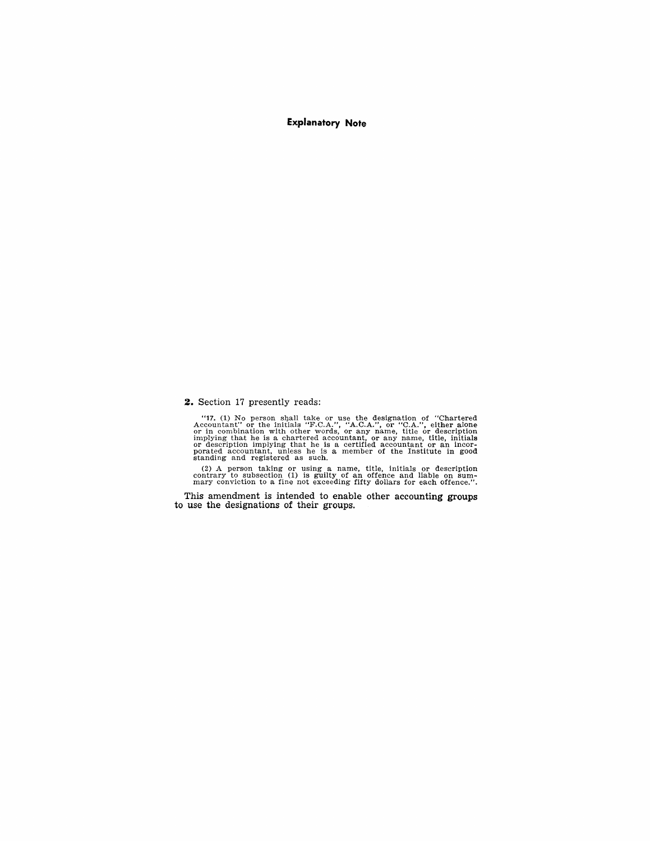**Explanatory Note** 

2. Section 17 presently reads:

"17. (1) No person shall take or use the designation of "Chartered Accountant" or the initials "F.C.A.", "A.C.A.", or "C.A.", either alone<br>Accountant" or the initials "F.C.A.", "A.C.A.", or "C.A.", eithe or description implying that he is a chartered accountant, or any name, title, initials or description implying that he is a certified accountant or an incorporated accountant, unless he is a member of the Institute in good standing and

(2) A person taking or using a name, title, initials or description contrary to subsection (1) is guilty of an offence and liable on sum-<br>mary conviction to a fine not exceeding fifty dollars for each offence.".

This amendment is intended to enable other accounting groups to use the designations of their groups.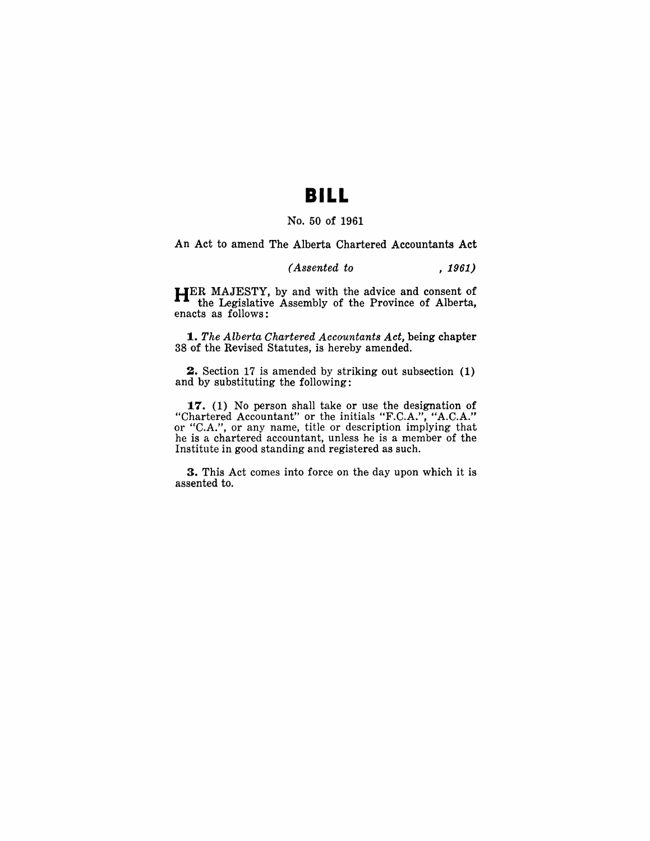### **BILL**

#### No. 50 of 1961

An Act to amend The Alberta Chartered Accountants Act

#### *(Assented to* , 1961)

HER MAJESTY, by and with the advice and consent of the Legislative Assembly of the Province of Alberta, enacts as follows:

1. The Alberta Chartered Accountants Act, being chapter 38 of the Revised Statutes, is hereby amended.

2. Section 17 is amended by striking out subsection (1) and by substituting the following:

**17. (1) No** person shall take or use the designation of "Chartered Accountant" or the initials "F.C.A.", *"A.C.A."*  or "C.A.", or any name, title or description implying that he is a chartered accountant, unless he is a member of the Institute in good standing and registered as such.

3. This Act comes into force on the day upon which it is assented to.